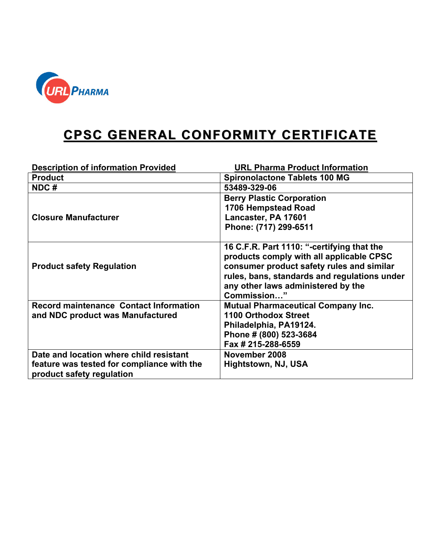

## **CPSC GENERAL CONFORMITY CERTIFICATE**

| <b>Description of information Provided</b>                                                                         | <b>URL Pharma Product Information</b>                                                                                                                                                                                                    |
|--------------------------------------------------------------------------------------------------------------------|------------------------------------------------------------------------------------------------------------------------------------------------------------------------------------------------------------------------------------------|
| <b>Product</b>                                                                                                     | <b>Spironolactone Tablets 100 MG</b>                                                                                                                                                                                                     |
| NDC#                                                                                                               | 53489-329-06                                                                                                                                                                                                                             |
| <b>Closure Manufacturer</b>                                                                                        | <b>Berry Plastic Corporation</b><br>1706 Hempstead Road<br>Lancaster, PA 17601<br>Phone: (717) 299-6511                                                                                                                                  |
| <b>Product safety Regulation</b>                                                                                   | 16 C.F.R. Part 1110: "-certifying that the<br>products comply with all applicable CPSC<br>consumer product safety rules and similar<br>rules, bans, standards and regulations under<br>any other laws administered by the<br>Commission" |
| <b>Record maintenance Contact Information</b><br>and NDC product was Manufactured                                  | <b>Mutual Pharmaceutical Company Inc.</b><br>1100 Orthodox Street<br>Philadelphia, PA19124.<br>Phone # (800) 523-3684<br>Fax # 215-288-6559                                                                                              |
| Date and location where child resistant<br>feature was tested for compliance with the<br>product safety regulation | November 2008<br>Hightstown, NJ, USA                                                                                                                                                                                                     |